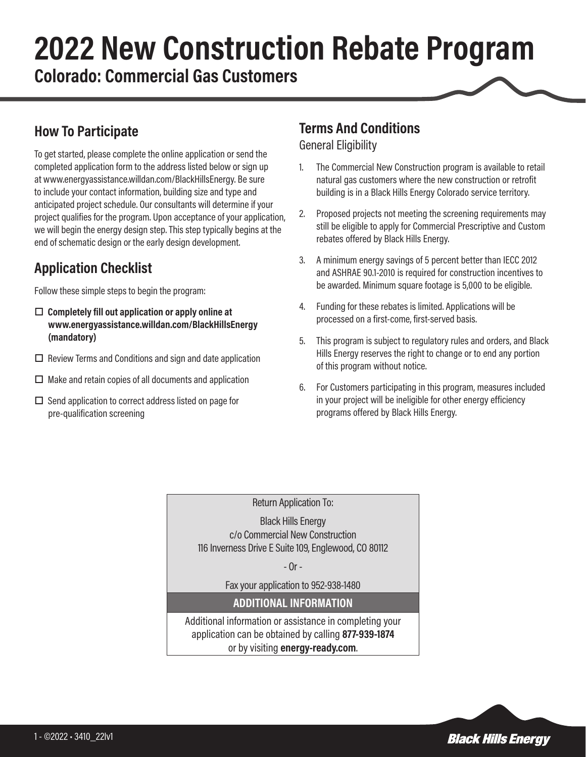# **2022 New Construction Rebate Program Colorado: Commercial Gas Customers**

#### **How To Participate**

To get started, please complete the online application or send the completed application form to the address listed below or sign up at www.energyassistance.willdan.com/BlackHillsEnergy. Be sure to include your contact information, building size and type and anticipated project schedule. Our consultants will determine if your project qualifies for the program. Upon acceptance of your application, we will begin the energy design step. This step typically begins at the end of schematic design or the early design development.

# **Application Checklist**

Follow these simple steps to begin the program:

- $\Box$  Completely fill out application or apply online at **www.energyassistance.willdan.com/BlackHillsEnergy (mandatory)**
- $\Box$  Review Terms and Conditions and sign and date application
- $\square$  Make and retain copies of all documents and application
- $\square$  Send application to correct address listed on page for pre-qualification screening

### **Terms And Conditions**

General Eligibility

- 1. The Commercial New Construction program is available to retail natural gas customers where the new construction or retrofit building is in a Black Hills Energy Colorado service territory.
- 2. Proposed projects not meeting the screening requirements may still be eligible to apply for Commercial Prescriptive and Custom rebates offered by Black Hills Energy.
- 3. A minimum energy savings of 5 percent better than IECC 2012 and ASHRAE 90.1-2010 is required for construction incentives to be awarded. Minimum square footage is 5,000 to be eligible.
- 4. Funding for these rebates is limited. Applications will be processed on a first-come, first-served basis.
- 5. This program is subject to regulatory rules and orders, and Black Hills Energy reserves the right to change or to end any portion of this program without notice.
- 6. For Customers participating in this program, measures included in your project will be ineligible for other energy efficiency programs offered by Black Hills Energy.

Return Application To:

Black Hills Energy c/o Commercial New Construction 116 Inverness Drive E Suite 109, Englewood, CO 80112

- Or -

Fax your application to 952-938-1480

#### **ADDITIONAL INFORMATION**

Additional information or assistance in completing your application can be obtained by calling **877-939-1874** or by visiting **energy-ready.com**.

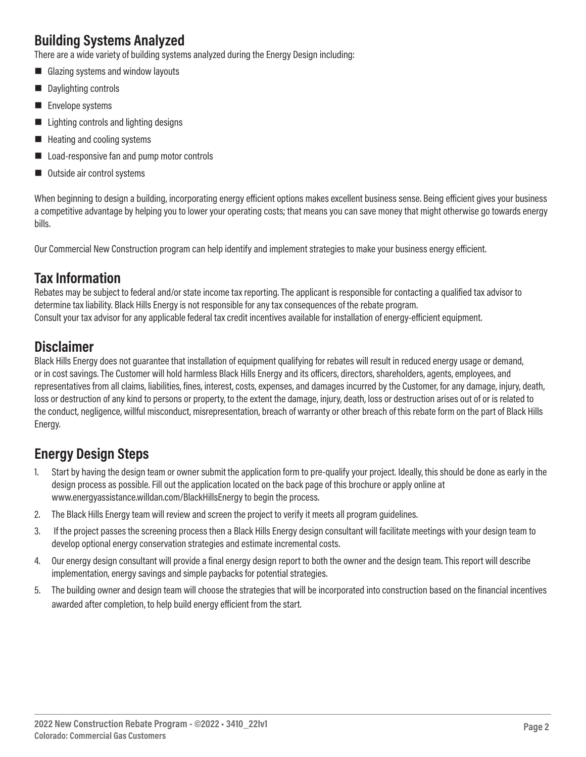# **Building Systems Analyzed**

There are a wide variety of building systems analyzed during the Energy Design including:

- Glazing systems and window layouts
- Daylighting controls
- $\blacksquare$  Envelope systems
- $\blacksquare$  Lighting controls and lighting designs
- $\blacksquare$  Heating and cooling systems
- Load-responsive fan and pump motor controls
- Outside air control systems

When beginning to design a building, incorporating energy efficient options makes excellent business sense. Being efficient gives your business a competitive advantage by helping you to lower your operating costs; that means you can save money that might otherwise go towards energy bills.

Our Commercial New Construction program can help identify and implement strategies to make your business energy efficient.

#### **Tax Information**

Rebates may be subject to federal and/or state income tax reporting. The applicant is responsible for contacting a qualified tax advisor to determine tax liability. Black Hills Energy is not responsible for any tax consequences of the rebate program. Consult your tax advisor for any applicable federal tax credit incentives available for installation of energy-efficient equipment.

#### **Disclaimer**

Black Hills Energy does not guarantee that installation of equipment qualifying for rebates will result in reduced energy usage or demand, or in cost savings. The Customer will hold harmless Black Hills Energy and its officers, directors, shareholders, agents, employees, and representatives from all claims, liabilities, fines, interest, costs, expenses, and damages incurred by the Customer, for any damage, injury, death, loss or destruction of any kind to persons or property, to the extent the damage, injury, death, loss or destruction arises out of or is related to the conduct, negligence, willful misconduct, misrepresentation, breach of warranty or other breach of this rebate form on the part of Black Hills Energy.

# **Energy Design Steps**

- 1. Start by having the design team or owner submit the application form to pre-qualify your project. Ideally, this should be done as early in the design process as possible. Fill out the application located on the back page of this brochure or apply online at www.energyassistance.willdan.com/BlackHillsEnergy to begin the process.
- 2. The Black Hills Energy team will review and screen the project to verify it meets all program guidelines.
- 3. If the project passes the screening process then a Black Hills Energy design consultant will facilitate meetings with your design team to develop optional energy conservation strategies and estimate incremental costs.
- 4. Our energy design consultant will provide a final energy design report to both the owner and the design team. This report will describe implementation, energy savings and simple paybacks for potential strategies.
- 5. The building owner and design team will choose the strategies that will be incorporated into construction based on the financial incentives awarded after completion, to help build energy efficient from the start.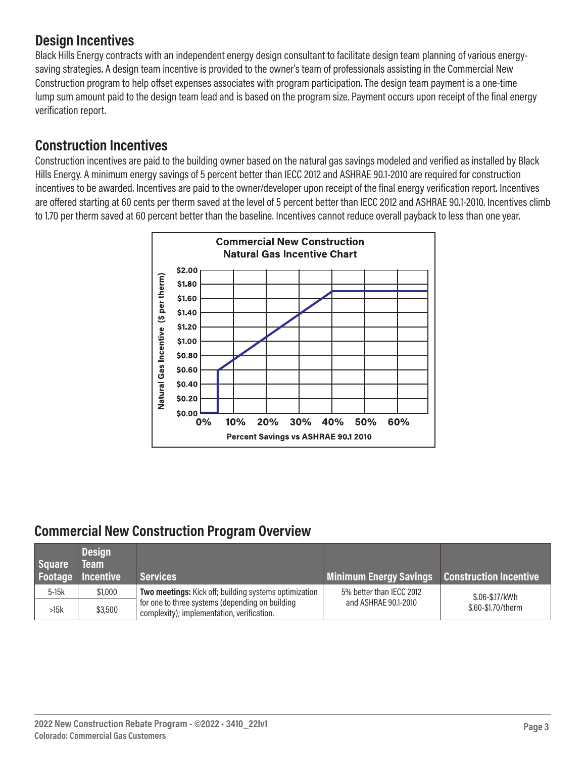### **Design Incentives**

Black Hills Energy contracts with an independent energy design consultant to facilitate design team planning of various energysaving strategies. A design team incentive is provided to the owner's team of professionals assisting in the Commercial New Construction program to help offset expenses associates with program participation. The design team payment is a one-time lump sum amount paid to the design team lead and is based on the program size. Payment occurs upon receipt of the final energy verification report.

#### **Construction Incentives**

Construction incentives are paid to the building owner based on the natural gas savings modeled and verified as installed by Black Hills Energy. A minimum energy savings of 5 percent better than IECC 2012 and ASHRAE 90.1-2010 are required for construction incentives to be awarded. Incentives are paid to the owner/developer upon receipt of the final energy verification report. Incentives are offered starting at 60 cents per therm saved at the level of 5 percent better than IECC 2012 and ASHRAE 90.1-2010. Incentives climb to 1.70 per therm saved at 60 percent better than the baseline. Incentives cannot reduce overall payback to less than one year.



#### **Commercial New Construction Program Overview**

| <b>Square</b> | <b>Design</b><br><b>Team</b><br><b>Footage Incentive</b> | <b>Services</b>                                                                               | Minimum Energy Savings Construction Incentive |                    |  |
|---------------|----------------------------------------------------------|-----------------------------------------------------------------------------------------------|-----------------------------------------------|--------------------|--|
| $5-15k$       | \$1,000                                                  | Two meetings: Kick off; building systems optimization                                         | 5% better than IECC 2012                      | \$.06-\$.17/kWh    |  |
| >15k          | \$3,500                                                  | for one to three systems (depending on building<br>complexity); implementation, verification. | and ASHRAE 90.1-2010                          | \$.60-\$1.70/therm |  |